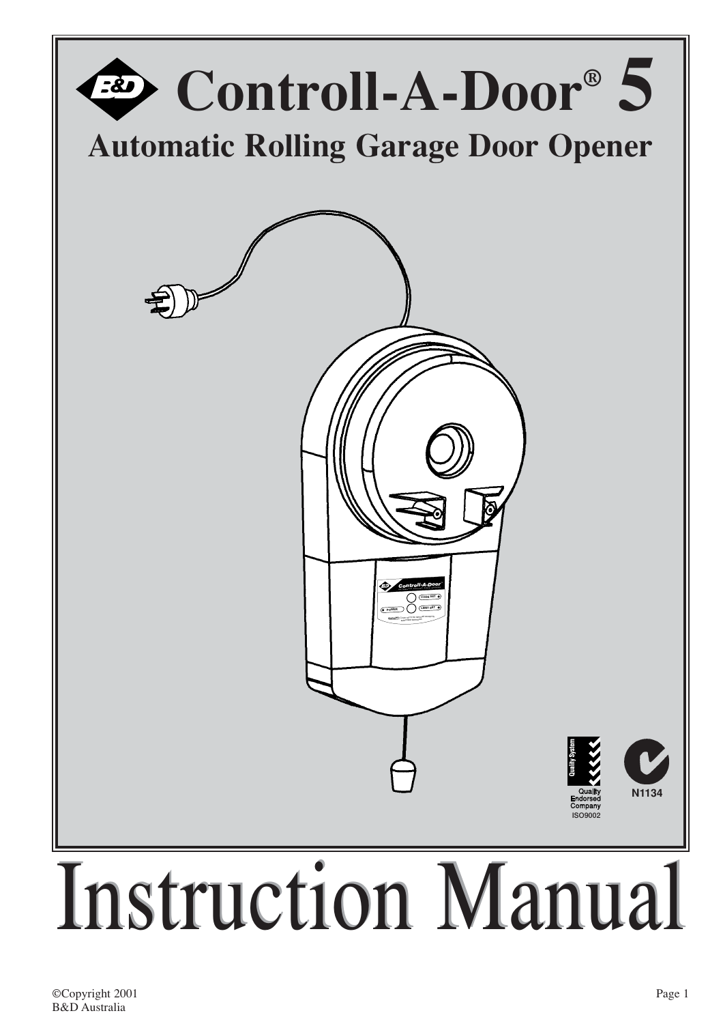

### ©Copyright 2001 B&D Australia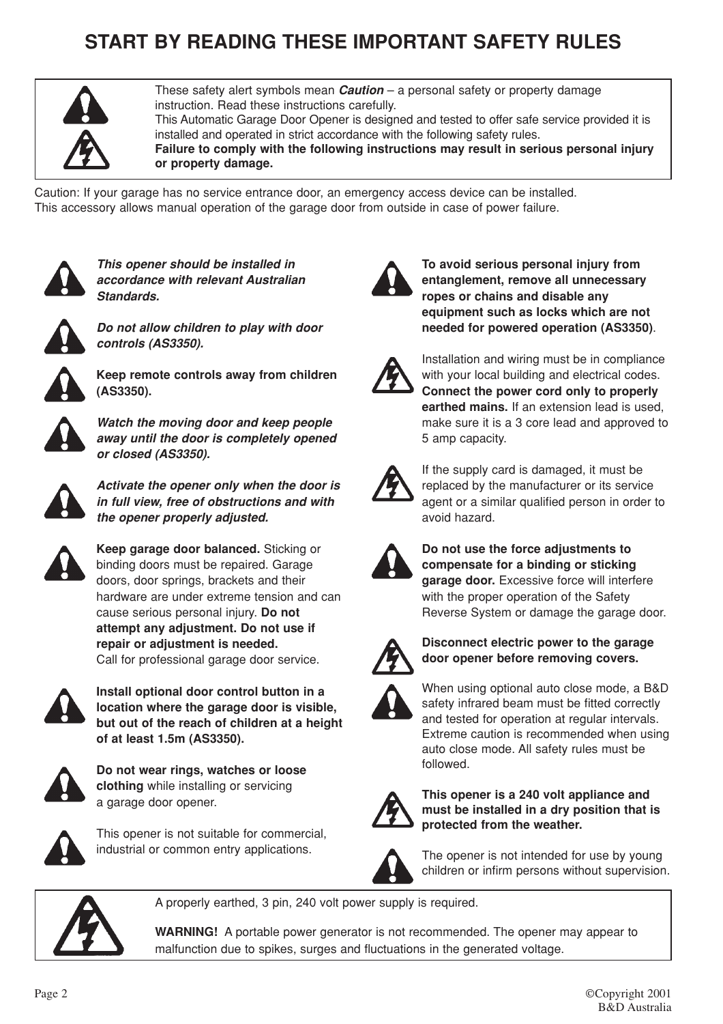# **START BY READING THESE IMPORTANT SAFETY RULES**



These safety alert symbols mean *Caution* – a personal safety or property damage instruction. Read these instructions carefully. This Automatic Garage Door Opener is designed and tested to offer safe service provided it is installed and operated in strict accordance with the following safety rules. **Failure to comply with the following instructions may result in serious personal injury or property damage.**

Caution: If your garage has no service entrance door, an emergency access device can be installed. This accessory allows manual operation of the garage door from outside in case of power failure.



*This opener should be installed in accordance with relevant Australian Standards.*



*Do not allow children to play with door controls (AS3350).*



**Keep remote controls away from children (AS3350).**



*Watch the moving door and keep people away until the door is completely opened or closed (AS3350).*



*Activate the opener only when the door is in full view, free of obstructions and with the opener properly adjusted.*



**Keep garage door balanced.** Sticking or binding doors must be repaired. Garage doors, door springs, brackets and their hardware are under extreme tension and can cause serious personal injury. **Do not attempt any adjustment. Do not use if repair or adjustment is needed.** Call for professional garage door service.



**Install optional door control button in a location where the garage door is visible, but out of the reach of children at a height of at least 1.5m (AS3350).**



**Do not wear rings, watches or loose clothing** while installing or servicing a garage door opener.



This opener is not suitable for commercial, industrial or common entry applications.



**To avoid serious personal injury from entanglement, remove all unnecessary ropes or chains and disable any equipment such as locks which are not needed for powered operation (AS3350)**.



Installation and wiring must be in compliance with your local building and electrical codes. **Connect the power cord only to properly earthed mains.** If an extension lead is used, make sure it is a 3 core lead and approved to 5 amp capacity.



If the supply card is damaged, it must be replaced by the manufacturer or its service agent or a similar qualified person in order to avoid hazard.



**Do not use the force adjustments to compensate for a binding or sticking garage door.** Excessive force will interfere with the proper operation of the Safety Reverse System or damage the garage door.



**Disconnect electric power to the garage door opener before removing covers.**



When using optional auto close mode, a B&D safety infrared beam must be fitted correctly and tested for operation at regular intervals. Extreme caution is recommended when using auto close mode. All safety rules must be followed.



**This opener is a 240 volt appliance and must be installed in a dry position that is protected from the weather.**



The opener is not intended for use by young children or infirm persons without supervision.



A properly earthed, 3 pin, 240 volt power supply is required.

**WARNING!** A portable power generator is not recommended. The opener may appear to malfunction due to spikes, surges and fluctuations in the generated voltage.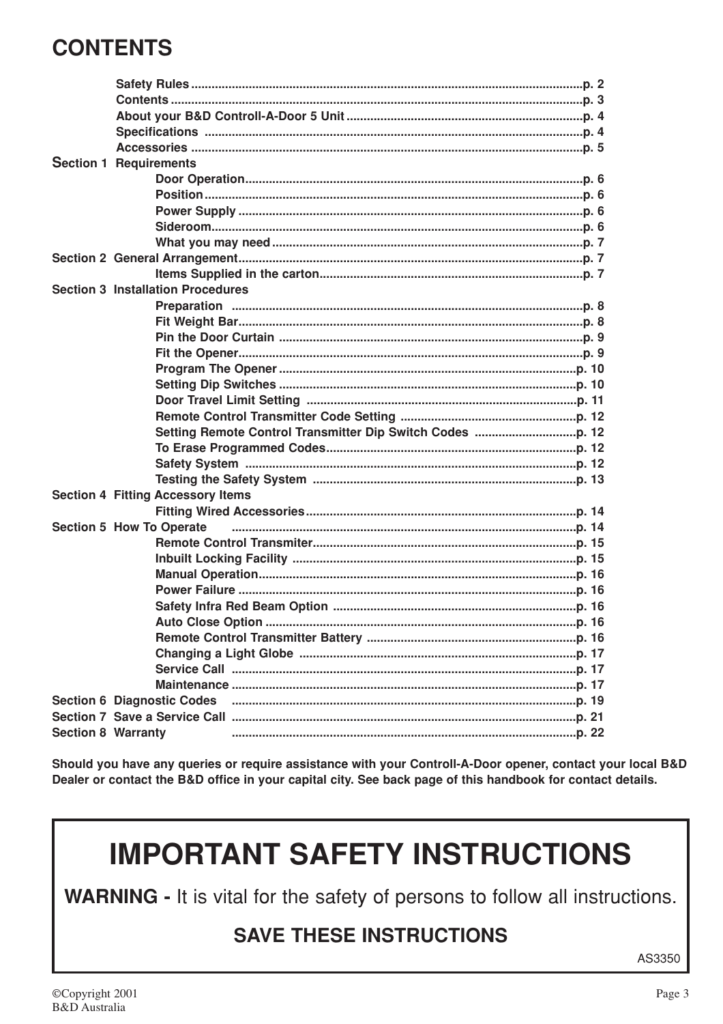# **CONTENTS**

|                           | <b>Section 1 Requirements</b>            |  |
|---------------------------|------------------------------------------|--|
|                           |                                          |  |
|                           |                                          |  |
|                           |                                          |  |
|                           |                                          |  |
|                           |                                          |  |
|                           |                                          |  |
|                           |                                          |  |
|                           | <b>Section 3 Installation Procedures</b> |  |
|                           |                                          |  |
|                           |                                          |  |
|                           |                                          |  |
|                           |                                          |  |
|                           |                                          |  |
|                           |                                          |  |
|                           |                                          |  |
|                           |                                          |  |
|                           |                                          |  |
|                           |                                          |  |
|                           |                                          |  |
|                           |                                          |  |
|                           | <b>Section 4 Fitting Accessory Items</b> |  |
|                           |                                          |  |
|                           | Section 5 How To Operate                 |  |
|                           |                                          |  |
|                           |                                          |  |
|                           |                                          |  |
|                           |                                          |  |
|                           |                                          |  |
|                           |                                          |  |
|                           |                                          |  |
|                           |                                          |  |
|                           |                                          |  |
|                           |                                          |  |
|                           | <b>Section 6 Diagnostic Codes</b>        |  |
|                           |                                          |  |
| <b>Section 8 Warranty</b> |                                          |  |

Should you have any queries or require assistance with your Controll-A-Door opener, contact your local B&D Dealer or contact the B&D office in your capital city. See back page of this handbook for contact details.

# **IMPORTANT SAFETY INSTRUCTIONS**

WARNING - It is vital for the safety of persons to follow all instructions.

# **SAVE THESE INSTRUCTIONS**

AS3350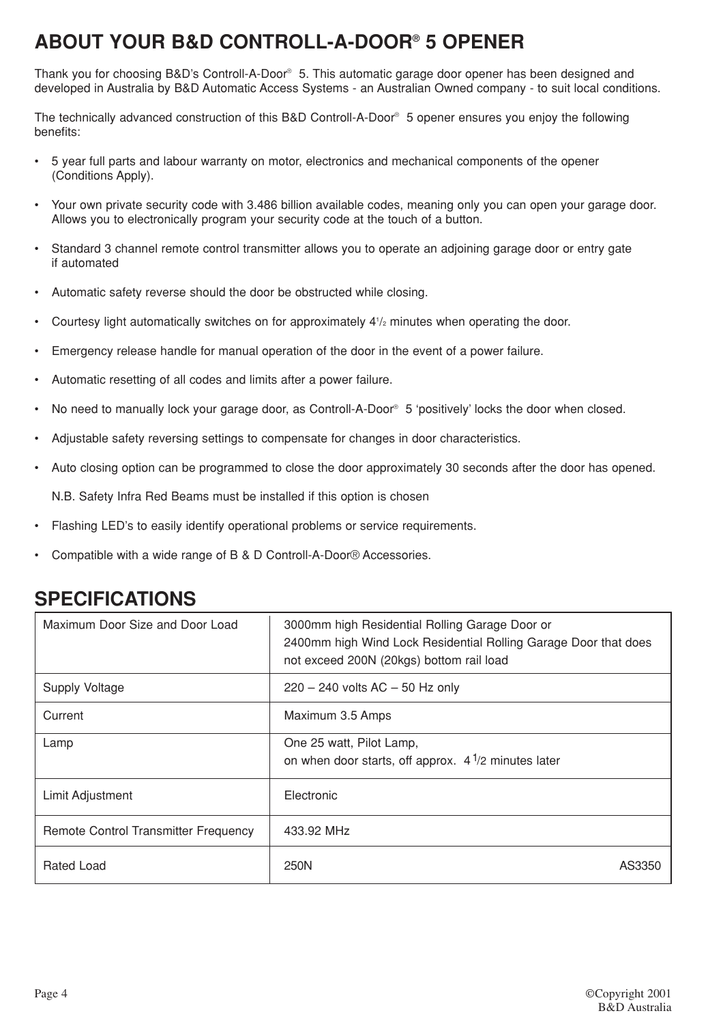# **ABOUT YOUR B&D CONTROLL-A-DOOR® 5 OPENER**

Thank you for choosing B&D's Controll-A-Door® 5. This automatic garage door opener has been designed and developed in Australia by B&D Automatic Access Systems - an Australian Owned company - to suit local conditions.

The technically advanced construction of this B&D Controll-A-Door® 5 opener ensures you enjoy the following benefits:

- 5 year full parts and labour warranty on motor, electronics and mechanical components of the opener (Conditions Apply).
- Your own private security code with 3.486 billion available codes, meaning only you can open your garage door. Allows you to electronically program your security code at the touch of a button.
- Standard 3 channel remote control transmitter allows you to operate an adioining garage door or entry gate if automated
- Automatic safety reverse should the door be obstructed while closing.
- $\cdot$  Courtesy light automatically switches on for approximately  $4\frac{1}{2}$  minutes when operating the door.
- Emergency release handle for manual operation of the door in the event of a power failure.
- Automatic resetting of all codes and limits after a power failure.
- No need to manually lock your garage door, as Controll-A-Door<sup>®</sup> 5 'positively' locks the door when closed.
- Adjustable safety reversing settings to compensate for changes in door characteristics.
- Auto closing option can be programmed to close the door approximately 30 seconds after the door has opened.

N.B. Safety Infra Red Beams must be installed if this option is chosen

- Flashing LED's to easily identify operational problems or service requirements.
- Compatible with a wide range of B & D Controll-A-Door® Accessories.

| Maximum Door Size and Door Load             | 3000mm high Residential Rolling Garage Door or<br>2400mm high Wind Lock Residential Rolling Garage Door that does<br>not exceed 200N (20kgs) bottom rail load |
|---------------------------------------------|---------------------------------------------------------------------------------------------------------------------------------------------------------------|
| <b>Supply Voltage</b>                       | $220 - 240$ volts AC $- 50$ Hz only                                                                                                                           |
| Current                                     | Maximum 3.5 Amps                                                                                                                                              |
| Lamp                                        | One 25 watt, Pilot Lamp,<br>on when door starts, off approx. $4\frac{1}{2}$ minutes later                                                                     |
| Limit Adjustment                            | Electronic                                                                                                                                                    |
| <b>Remote Control Transmitter Frequency</b> | 433.92 MHz                                                                                                                                                    |
| Rated Load                                  | 250N<br>AS3350                                                                                                                                                |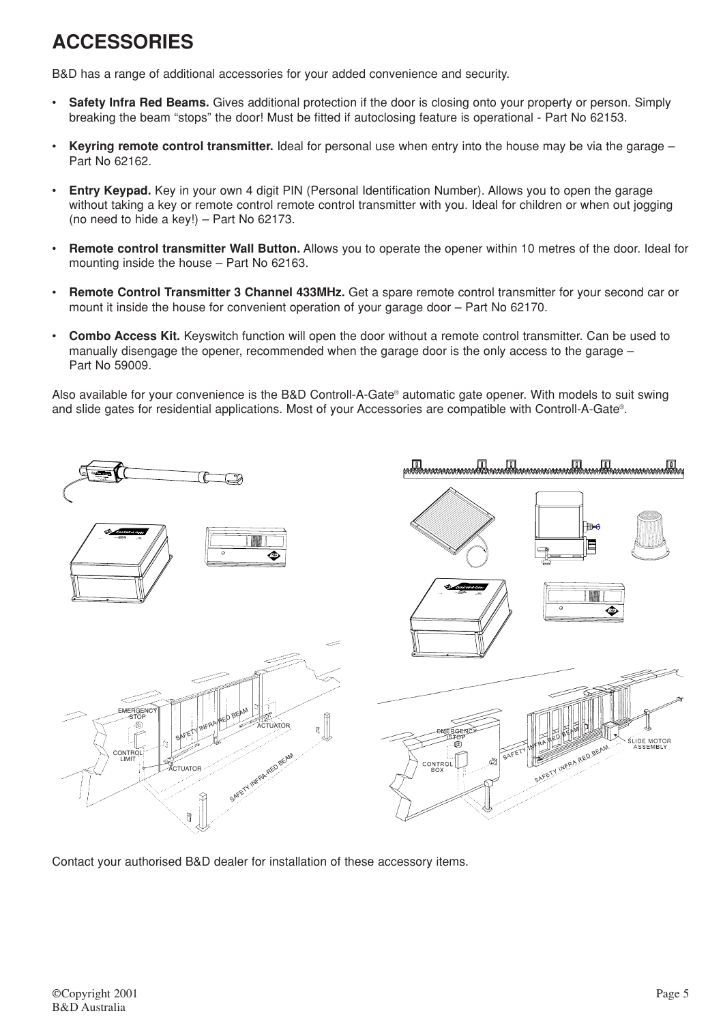# **ACCESSORIES**

B&D has a range of additional accessories for your added convenience and security.

- **Safety Infra Red Beams.** Gives additional protection if the door is closing onto your property or person. Simply breaking the beam "stops" the door! Must be fitted if autoclosing feature is operational - Part No 62153.
- **Keyring remote control transmitter.** Ideal for personal use when entry into the house may be via the garage Part No 62162.
- **Entry Keypad.** Key in your own 4 digit PIN (Personal Identification Number). Allows you to open the garage without taking a key or remote control remote control transmitter with you. Ideal for children or when out jogging (no need to hide a key!) – Part No 62173.
- **Remote control transmitter Wall Button.** Allows you to operate the opener within 10 metres of the door. Ideal for mounting inside the house – Part No 62163.
- **Remote Control Transmitter 3 Channel 433MHz.** Get a spare remote control transmitter for your second car or mount it inside the house for convenient operation of your garage door – Part No 62170.
- **Combo Access Kit.** Keyswitch function will open the door without a remote control transmitter. Can be used to manually disengage the opener, recommended when the garage door is the only access to the garage – Part No 59009.

Also available for your convenience is the B&D Controll-A-Gate® automatic gate opener. With models to suit swing and slide gates for residential applications. Most of your Accessories are compatible with Controll-A-Gate®.



Contact your authorised B&D dealer for installation of these accessory items.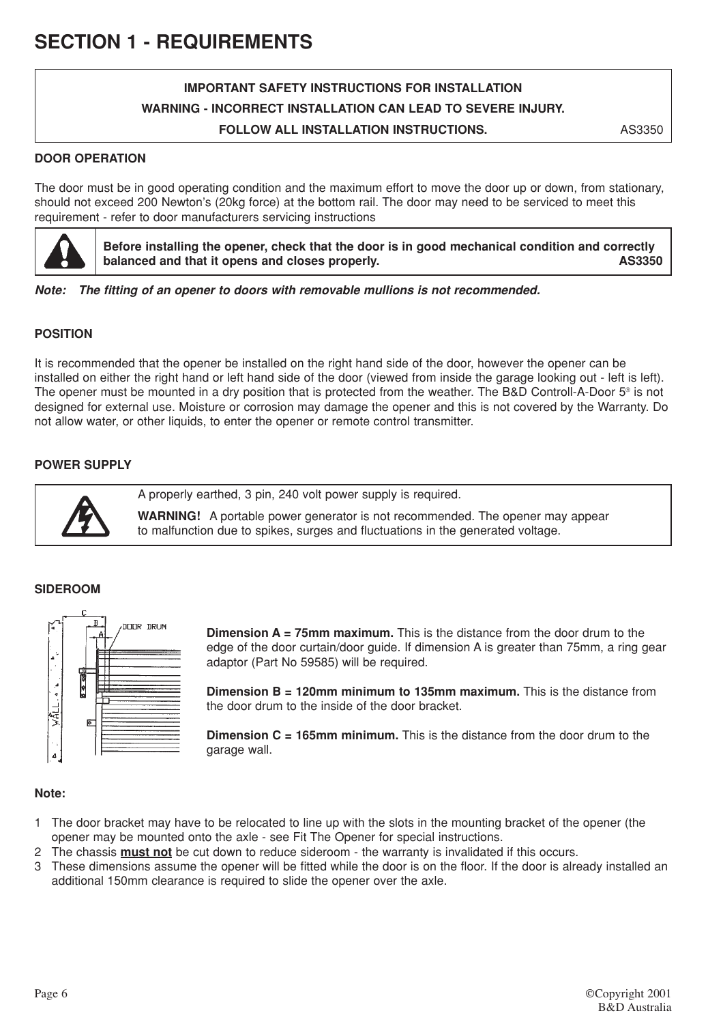# **IMPORTANT SAFETY INSTRUCTIONS FOR INSTALLATION WARNING - INCORRECT INSTALLATION CAN LEAD TO SEVERE INJURY. FOLLOW ALL INSTALLATION INSTRUCTIONS.**

AS3350

### **DOOR OPERATION**

The door must be in good operating condition and the maximum effort to move the door up or down, from stationary, should not exceed 200 Newton's (20kg force) at the bottom rail. The door may need to be serviced to meet this requirement - refer to door manufacturers servicing instructions



**Before installing the opener, check that the door is in good mechanical condition and correctly balanced and that it opens and closes properly. AS3350**

*Note: The fitting of an opener to doors with removable mullions is not recommended.*

# **POSITION**

It is recommended that the opener be installed on the right hand side of the door, however the opener can be installed on either the right hand or left hand side of the door (viewed from inside the garage looking out - left is left). The opener must be mounted in a dry position that is protected from the weather. The B&D Controll-A-Door 5® is not designed for external use. Moisture or corrosion may damage the opener and this is not covered by the Warranty. Do not allow water, or other liquids, to enter the opener or remote control transmitter.

### **POWER SUPPLY**



A properly earthed, 3 pin, 240 volt power supply is required.

**WARNING!** A portable power generator is not recommended. The opener may appear to malfunction due to spikes, surges and fluctuations in the generated voltage.

#### **SIDEROOM**



**Dimension A = 75mm maximum.** This is the distance from the door drum to the edge of the door curtain/door guide. If dimension A is greater than 75mm, a ring gear adaptor (Part No 59585) will be required.

**Dimension B = 120mm minimum to 135mm maximum.** This is the distance from the door drum to the inside of the door bracket.

**Dimension C = 165mm minimum.** This is the distance from the door drum to the garage wall.

#### **Note:**

- 1 The door bracket may have to be relocated to line up with the slots in the mounting bracket of the opener (the opener may be mounted onto the axle - see Fit The Opener for special instructions.
- 2 The chassis **must not** be cut down to reduce sideroom the warranty is invalidated if this occurs.
- 3 These dimensions assume the opener will be fitted while the door is on the floor. If the door is already installed an additional 150mm clearance is required to slide the opener over the axle.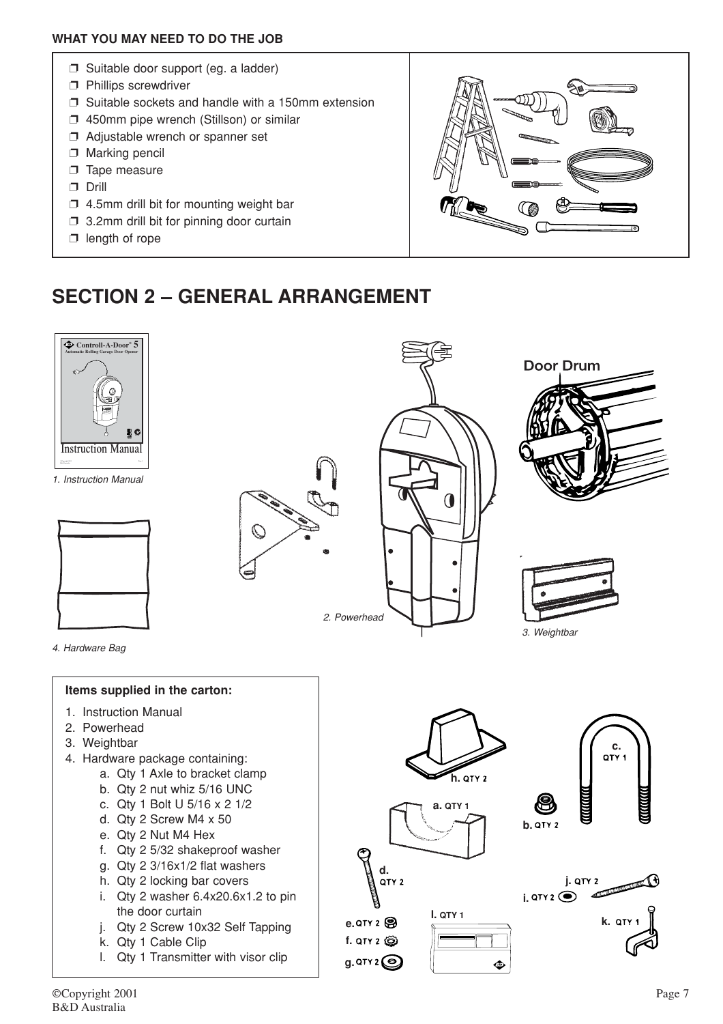### **WHAT YOU MAY NEED TO DO THE JOB**

- ❐ Suitable door support (eg. a ladder)
- ❐ Phillips screwdriver
- ❐ Suitable sockets and handle with a 150mm extension
- ❐ 450mm pipe wrench (Stillson) or similar
- ❐ Adjustable wrench or spanner set
- □ Marking pencil
- □ Tape measure
- ❐ Drill
- $\square$  4.5mm drill bit for mounting weight bar
- ❐ 3.2mm drill bit for pinning door curtain
- $\square$  length of rope



# **SECTION 2 – GENERAL ARRANGEMENT**

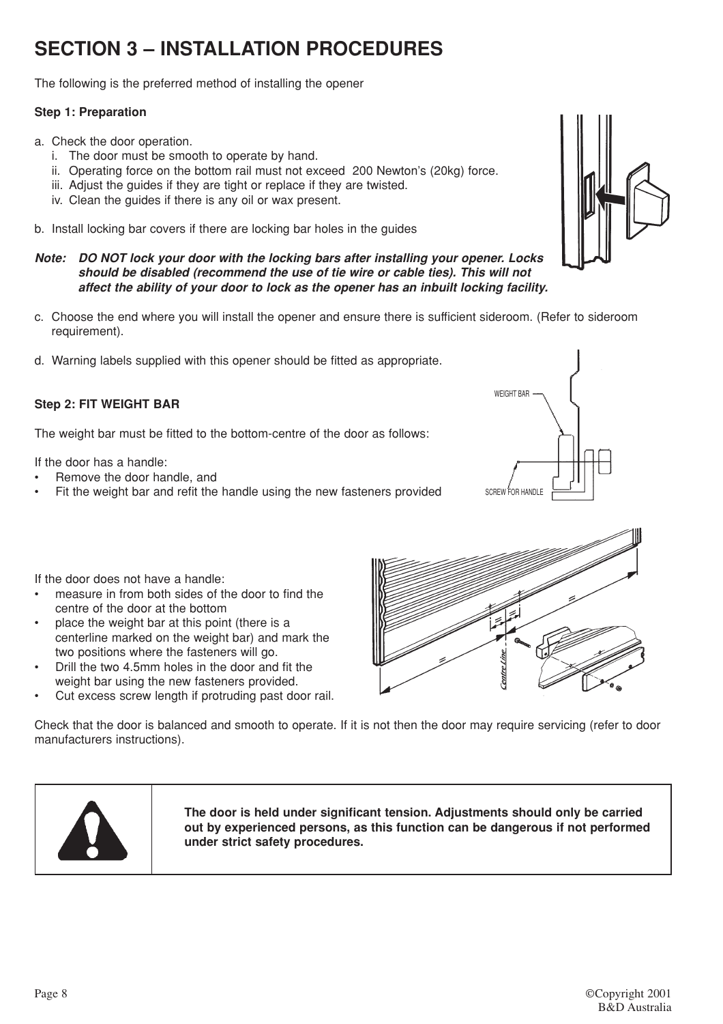# **SECTION 3 – INSTALLATION PROCEDURES**

The following is the preferred method of installing the opener

# **Step 1: Preparation**

- a. Check the door operation.
	- i. The door must be smooth to operate by hand.
	- ii. Operating force on the bottom rail must not exceed 200 Newton's (20kg) force.
	- iii. Adjust the guides if they are tight or replace if they are twisted.
	- iv. Clean the guides if there is any oil or wax present.
- b. Install locking bar covers if there are locking bar holes in the guides
- *Note: DO NOT lock your door with the locking bars after installing your opener. Locks should be disabled (recommend the use of tie wire or cable ties). This will not affect the ability of your door to lock as the opener has an inbuilt locking facility.*
- c. Choose the end where you will install the opener and ensure there is sufficient sideroom. (Refer to sideroom requirement).
- d. Warning labels supplied with this opener should be fitted as appropriate.

# **Step 2: FIT WEIGHT BAR**

The weight bar must be fitted to the bottom-centre of the door as follows:

If the door has a handle:

- Remove the door handle, and
- Fit the weight bar and refit the handle using the new fasteners provided





If the door does not have a handle:

- measure in from both sides of the door to find the centre of the door at the bottom
- place the weight bar at this point (there is a centerline marked on the weight bar) and mark the two positions where the fasteners will go.
- Drill the two 4.5mm holes in the door and fit the weight bar using the new fasteners provided.
- Cut excess screw length if protruding past door rail.

Check that the door is balanced and smooth to operate. If it is not then the door may require servicing (refer to door manufacturers instructions).



**The door is held under significant tension. Adjustments should only be carried out by experienced persons, as this function can be dangerous if not performed under strict safety procedures.**

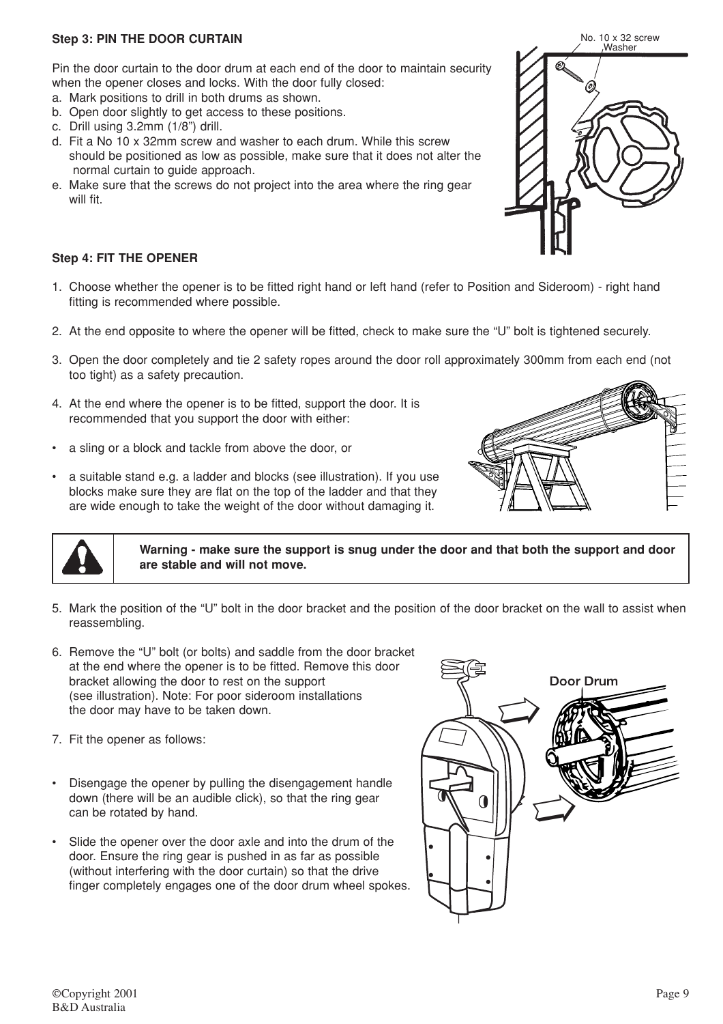Pin the door curtain to the door drum at each end of the door to maintain security when the opener closes and locks. With the door fully closed:

- a. Mark positions to drill in both drums as shown.
- b. Open door slightly to get access to these positions.
- c. Drill using 3.2mm (1/8") drill.
- d. Fit a No 10 x 32mm screw and washer to each drum. While this screw should be positioned as low as possible, make sure that it does not alter the normal curtain to guide approach.
- e. Make sure that the screws do not project into the area where the ring gear will fit.

# **Step 4: FIT THE OPENER**

- 1. Choose whether the opener is to be fitted right hand or left hand (refer to Position and Sideroom) right hand fitting is recommended where possible.
- 2. At the end opposite to where the opener will be fitted, check to make sure the "U" bolt is tightened securely.
- 3. Open the door completely and tie 2 safety ropes around the door roll approximately 300mm from each end (not too tight) as a safety precaution.
- 4. At the end where the opener is to be fitted, support the door. It is recommended that you support the door with either:
- a sling or a block and tackle from above the door, or
- a suitable stand e.g. a ladder and blocks (see illustration). If you use blocks make sure they are flat on the top of the ladder and that they are wide enough to take the weight of the door without damaging it.





**Warning - make sure the support is snug under the door and that both the support and door are stable and will not move.**

- 5. Mark the position of the "U" bolt in the door bracket and the position of the door bracket on the wall to assist when reassembling.
- 6. Remove the "U" bolt (or bolts) and saddle from the door bracket at the end where the opener is to be fitted. Remove this door bracket allowing the door to rest on the support (see illustration). Note: For poor sideroom installations the door may have to be taken down.
- 7. Fit the opener as follows:
- Disengage the opener by pulling the disengagement handle down (there will be an audible click), so that the ring gear can be rotated by hand.
- Slide the opener over the door axle and into the drum of the door. Ensure the ring gear is pushed in as far as possible (without interfering with the door curtain) so that the drive finger completely engages one of the door drum wheel spokes.



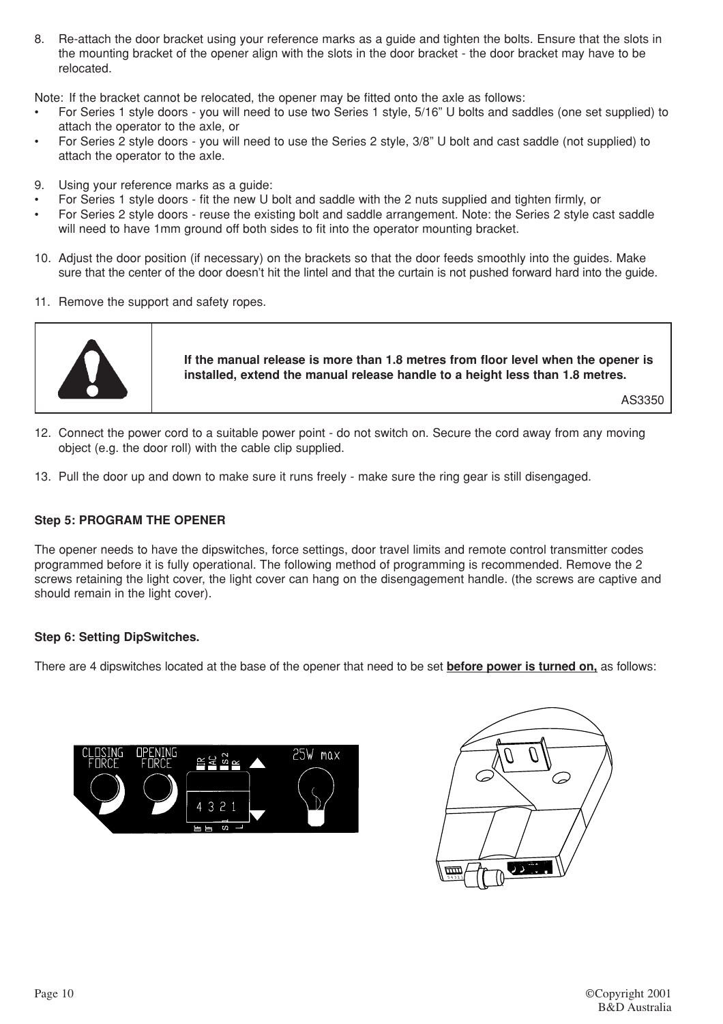8. Re-attach the door bracket using your reference marks as a guide and tighten the bolts. Ensure that the slots in the mounting bracket of the opener align with the slots in the door bracket - the door bracket may have to be relocated.

Note: If the bracket cannot be relocated, the opener may be fitted onto the axle as follows:

- For Series 1 style doors you will need to use two Series 1 style, 5/16" U bolts and saddles (one set supplied) to attach the operator to the axle, or
- For Series 2 style doors you will need to use the Series 2 style, 3/8" U bolt and cast saddle (not supplied) to attach the operator to the axle.
- 9. Using your reference marks as a guide:
- For Series 1 style doors fit the new U bolt and saddle with the 2 nuts supplied and tighten firmly, or
- For Series 2 style doors reuse the existing bolt and saddle arrangement. Note: the Series 2 style cast saddle will need to have 1mm ground off both sides to fit into the operator mounting bracket.
- 10. Adjust the door position (if necessary) on the brackets so that the door feeds smoothly into the guides. Make sure that the center of the door doesn't hit the lintel and that the curtain is not pushed forward hard into the guide.
- 11. Remove the support and safety ropes.



**If the manual release is more than 1.8 metres from floor level when the opener is installed, extend the manual release handle to a height less than 1.8 metres.**

AS3350

- 12. Connect the power cord to a suitable power point do not switch on. Secure the cord away from any moving object (e.g. the door roll) with the cable clip supplied.
- 13. Pull the door up and down to make sure it runs freely make sure the ring gear is still disengaged.

#### **Step 5: PROGRAM THE OPENER**

The opener needs to have the dipswitches, force settings, door travel limits and remote control transmitter codes programmed before it is fully operational. The following method of programming is recommended. Remove the 2 screws retaining the light cover, the light cover can hang on the disengagement handle. (the screws are captive and should remain in the light cover).

#### **Step 6: Setting DipSwitches.**

There are 4 dipswitches located at the base of the opener that need to be set **before power is turned on,** as follows:



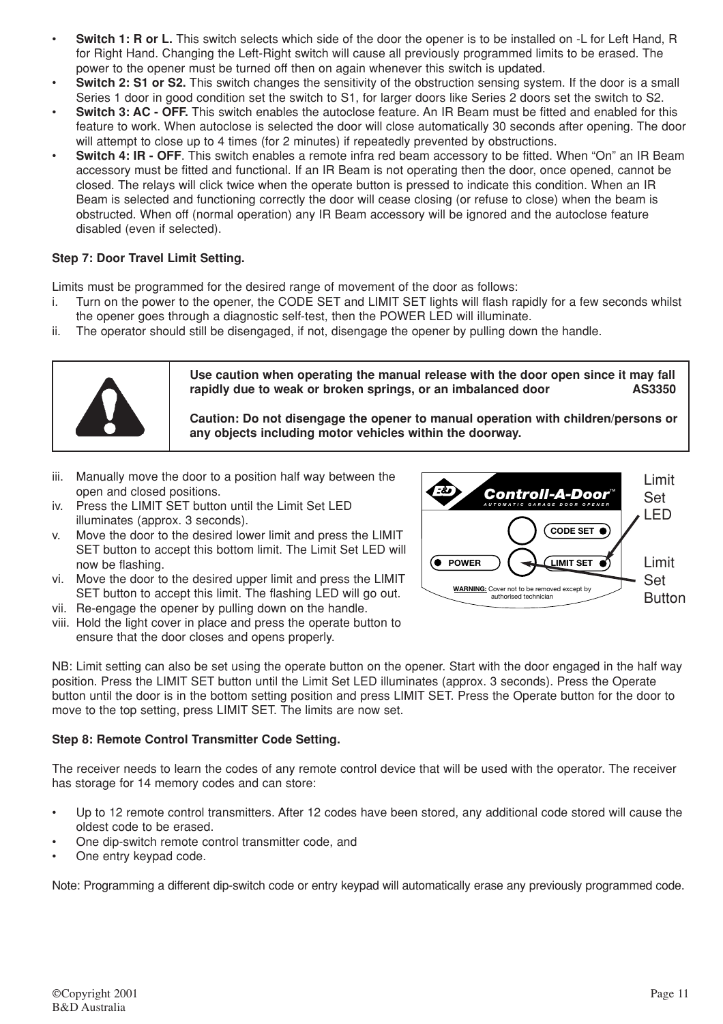- **Switch 1: R or L.** This switch selects which side of the door the opener is to be installed on -L for Left Hand, R for Right Hand. Changing the Left-Right switch will cause all previously programmed limits to be erased. The power to the opener must be turned off then on again whenever this switch is updated.
- **Switch 2: S1 or S2.** This switch changes the sensitivity of the obstruction sensing system. If the door is a small Series 1 door in good condition set the switch to S1, for larger doors like Series 2 doors set the switch to S2.
- **Switch 3: AC OFF.** This switch enables the autoclose feature. An IR Beam must be fitted and enabled for this feature to work. When autoclose is selected the door will close automatically 30 seconds after opening. The door will attempt to close up to 4 times (for 2 minutes) if repeatedly prevented by obstructions.
- **Switch 4: IR OFF**. This switch enables a remote infra red beam accessory to be fitted. When "On" an IR Beam accessory must be fitted and functional. If an IR Beam is not operating then the door, once opened, cannot be closed. The relays will click twice when the operate button is pressed to indicate this condition. When an IR Beam is selected and functioning correctly the door will cease closing (or refuse to close) when the beam is obstructed. When off (normal operation) any IR Beam accessory will be ignored and the autoclose feature disabled (even if selected).

# **Step 7: Door Travel Limit Setting.**

Limits must be programmed for the desired range of movement of the door as follows:

- i. Turn on the power to the opener, the CODE SET and LIMIT SET lights will flash rapidly for a few seconds whilst the opener goes through a diagnostic self-test, then the POWER LED will illuminate.
- ii. The operator should still be disengaged, if not, disengage the opener by pulling down the handle.



**Use caution when operating the manual release with the door open since it may fall rapidly due to weak or broken springs, or an imbalanced door AS3350**

**Caution: Do not disengage the opener to manual operation with children/persons or any objects including motor vehicles within the doorway.**

- iii. Manually move the door to a position half way between the open and closed positions.
- iv. Press the LIMIT SET button until the Limit Set LED illuminates (approx. 3 seconds).
- v. Move the door to the desired lower limit and press the LIMIT SET button to accept this bottom limit. The Limit Set LED will now be flashing.
- vi. Move the door to the desired upper limit and press the LIMIT SET button to accept this limit. The flashing LED will go out.
- vii. Re-engage the opener by pulling down on the handle.
- viii. Hold the light cover in place and press the operate button to ensure that the door closes and opens properly.



NB: Limit setting can also be set using the operate button on the opener. Start with the door engaged in the half way position. Press the LIMIT SET button until the Limit Set LED illuminates (approx. 3 seconds). Press the Operate button until the door is in the bottom setting position and press LIMIT SET. Press the Operate button for the door to move to the top setting, press LIMIT SET. The limits are now set.

#### **Step 8: Remote Control Transmitter Code Setting.**

The receiver needs to learn the codes of any remote control device that will be used with the operator. The receiver has storage for 14 memory codes and can store:

- Up to 12 remote control transmitters. After 12 codes have been stored, any additional code stored will cause the oldest code to be erased.
- One dip-switch remote control transmitter code, and
- One entry keypad code.

Note: Programming a different dip-switch code or entry keypad will automatically erase any previously programmed code.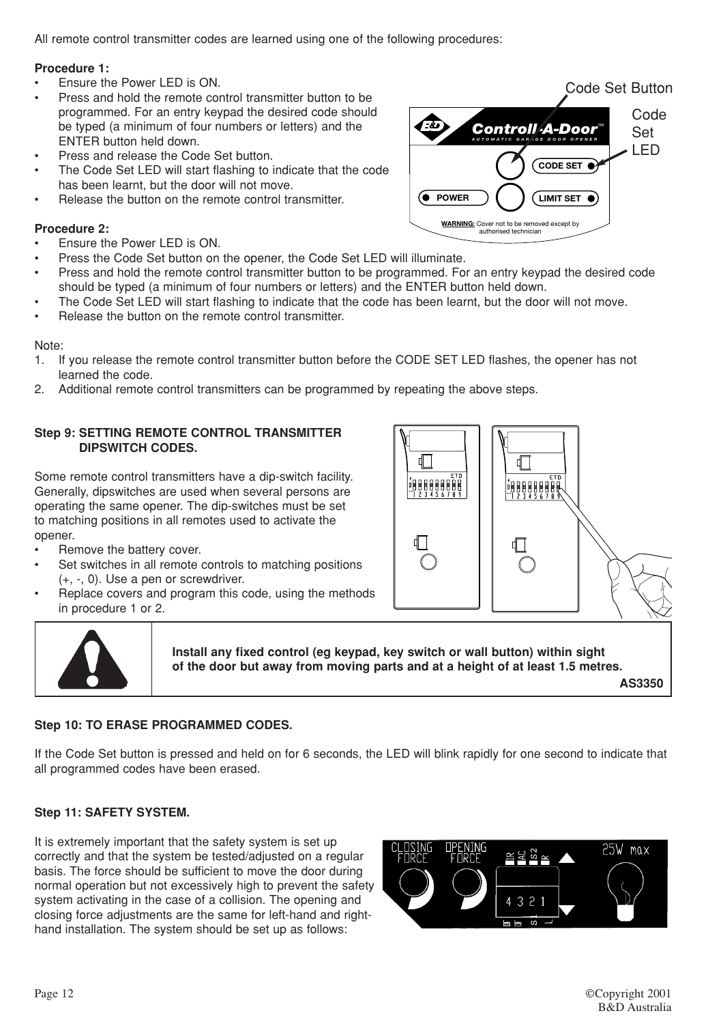All remote control transmitter codes are learned using one of the following procedures:

### **Procedure 1:**

- Ensure the Power LED is ON.
- Press and hold the remote control transmitter button to be programmed. For an entry keypad the desired code should be typed (a minimum of four numbers or letters) and the ENTER button held down.
- Press and release the Code Set button.
- The Code Set LED will start flashing to indicate that the code has been learnt, but the door will not move.
- Release the button on the remote control transmitter.

# **Procedure 2:**

- Ensure the Power LED is ON.
- Press the Code Set button on the opener, the Code Set LED will illuminate.
- Press and hold the remote control transmitter button to be programmed. For an entry keypad the desired code should be typed (a minimum of four numbers or letters) and the ENTER button held down.
- The Code Set LED will start flashing to indicate that the code has been learnt, but the door will not move.
- Release the button on the remote control transmitter.

Note:

- 1. If you release the remote control transmitter button before the CODE SET LED flashes, the opener has not learned the code.
- 2. Additional remote control transmitters can be programmed by repeating the above steps.

#### **Step 9: SETTING REMOTE CONTROL TRANSMITTER DIPSWITCH CODES.**

Some remote control transmitters have a dip-switch facility. Generally, dipswitches are used when several persons are operating the same opener. The dip-switches must be set to matching positions in all remotes used to activate the opener.

- Remove the battery cover.
- Set switches in all remote controls to matching positions (+, -, 0). Use a pen or screwdriver.
- Replace covers and program this code, using the methods in procedure 1 or 2.





**Install any fixed control (eg keypad, key switch or wall button) within sight of the door but away from moving parts and at a height of at least 1.5 metres.**

**AS3350**

### **Step 10: TO ERASE PROGRAMMED CODES.**

If the Code Set button is pressed and held on for 6 seconds, the LED will blink rapidly for one second to indicate that all programmed codes have been erased.

# **Step 11: SAFETY SYSTEM.**

It is extremely important that the safety system is set up correctly and that the system be tested/adjusted on a regular basis. The force should be sufficient to move the door during normal operation but not excessively high to prevent the safety system activating in the case of a collision. The opening and closing force adjustments are the same for left-hand and righthand installation. The system should be set up as follows:



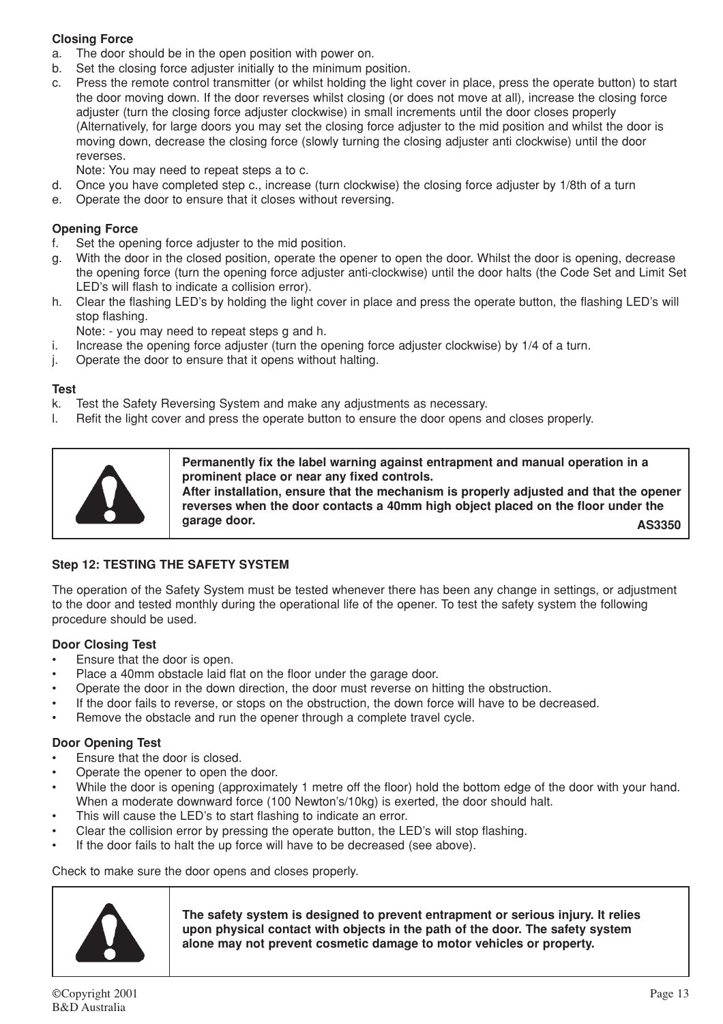# **Closing Force**

- a. The door should be in the open position with power on.
- b. Set the closing force adjuster initially to the minimum position.
- c. Press the remote control transmitter (or whilst holding the light cover in place, press the operate button) to start the door moving down. If the door reverses whilst closing (or does not move at all), increase the closing force adjuster (turn the closing force adjuster clockwise) in small increments until the door closes properly (Alternatively, for large doors you may set the closing force adjuster to the mid position and whilst the door is moving down, decrease the closing force (slowly turning the closing adjuster anti clockwise) until the door reverses.
	- Note: You may need to repeat steps a to c.
- d. Once you have completed step c., increase (turn clockwise) the closing force adjuster by 1/8th of a turn
- e. Operate the door to ensure that it closes without reversing.

### **Opening Force**

- f. Set the opening force adjuster to the mid position.
- g. With the door in the closed position, operate the opener to open the door. Whilst the door is opening, decrease the opening force (turn the opening force adjuster anti-clockwise) until the door halts (the Code Set and Limit Set LED's will flash to indicate a collision error).
- h. Clear the flashing LED's by holding the light cover in place and press the operate button, the flashing LED's will stop flashing.

Note: - you may need to repeat steps g and h.

- i. Increase the opening force adjuster (turn the opening force adjuster clockwise) by 1/4 of a turn.
- j. Operate the door to ensure that it opens without halting.

#### **Test**

- k. Test the Safety Reversing System and make any adjustments as necessary.
- l. Refit the light cover and press the operate button to ensure the door opens and closes properly.

**Permanently fix the label warning against entrapment and manual operation in a prominent place or near any fixed controls.**

**After installation, ensure that the mechanism is properly adjusted and that the opener reverses when the door contacts a 40mm high object placed on the floor under the garage door. AS3350**

# **Step 12: TESTING THE SAFETY SYSTEM**

The operation of the Safety System must be tested whenever there has been any change in settings, or adjustment to the door and tested monthly during the operational life of the opener. To test the safety system the following procedure should be used.

#### **Door Closing Test**

- Ensure that the door is open.
- Place a 40mm obstacle laid flat on the floor under the garage door.
- Operate the door in the down direction, the door must reverse on hitting the obstruction.
- If the door fails to reverse, or stops on the obstruction, the down force will have to be decreased.
- Remove the obstacle and run the opener through a complete travel cycle.

# **Door Opening Test**

- Ensure that the door is closed.
- Operate the opener to open the door.
- While the door is opening (approximately 1 metre off the floor) hold the bottom edge of the door with your hand. When a moderate downward force (100 Newton's/10kg) is exerted, the door should halt.
- This will cause the LED's to start flashing to indicate an error.
- Clear the collision error by pressing the operate button, the LED's will stop flashing.
- If the door fails to halt the up force will have to be decreased (see above).

#### Check to make sure the door opens and closes properly.



**The safety system is designed to prevent entrapment or serious injury. It relies upon physical contact with objects in the path of the door. The safety system alone may not prevent cosmetic damage to motor vehicles or property.**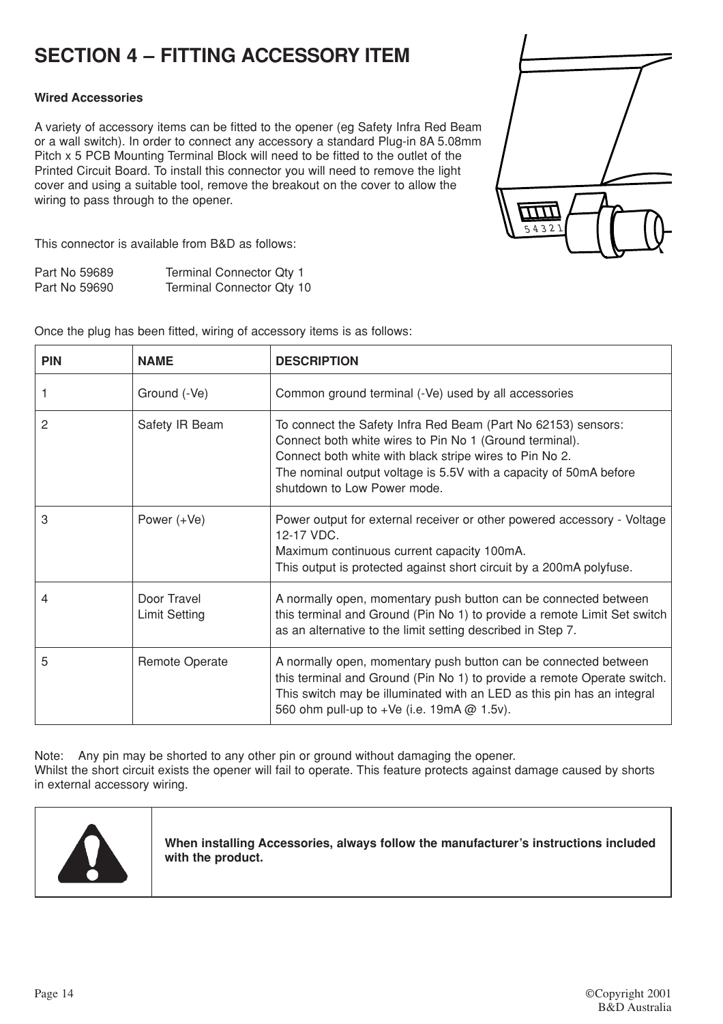# **SECTION 4 – FITTING ACCESSORY ITEM**

### **Wired Accessories**

A variety of accessory items can be fitted to the opener (eg Safety Infra Red Beam or a wall switch). In order to connect any accessory a standard Plug-in 8A 5.08mm Pitch x 5 PCB Mounting Terminal Block will need to be fitted to the outlet of the Printed Circuit Board. To install this connector you will need to remove the light cover and using a suitable tool, remove the breakout on the cover to allow the wiring to pass through to the opener.



This connector is available from B&D as follows:

| Part No 59689 | Terminal Connector Qty 1  |
|---------------|---------------------------|
| Part No 59690 | Terminal Connector Qty 10 |

Once the plug has been fitted, wiring of accessory items is as follows:

| <b>PIN</b> | <b>NAME</b>                         | <b>DESCRIPTION</b>                                                                                                                                                                                                                                                                      |
|------------|-------------------------------------|-----------------------------------------------------------------------------------------------------------------------------------------------------------------------------------------------------------------------------------------------------------------------------------------|
|            | Ground (-Ve)                        | Common ground terminal (-Ve) used by all accessories                                                                                                                                                                                                                                    |
| 2          | Safety IR Beam                      | To connect the Safety Infra Red Beam (Part No 62153) sensors:<br>Connect both white wires to Pin No 1 (Ground terminal).<br>Connect both white with black stripe wires to Pin No 2.<br>The nominal output voltage is 5.5V with a capacity of 50mA before<br>shutdown to Low Power mode. |
| 3          | Power $(+Ve)$                       | Power output for external receiver or other powered accessory - Voltage<br>12-17 VDC.<br>Maximum continuous current capacity 100mA.<br>This output is protected against short circuit by a 200mA polyfuse.                                                                              |
|            | Door Travel<br><b>Limit Setting</b> | A normally open, momentary push button can be connected between<br>this terminal and Ground (Pin No 1) to provide a remote Limit Set switch<br>as an alternative to the limit setting described in Step 7.                                                                              |
| 5          | Remote Operate                      | A normally open, momentary push button can be connected between<br>this terminal and Ground (Pin No 1) to provide a remote Operate switch.<br>This switch may be illuminated with an LED as this pin has an integral<br>560 ohm pull-up to +Ve (i.e. 19mA @ 1.5v).                      |

Note: Any pin may be shorted to any other pin or ground without damaging the opener. Whilst the short circuit exists the opener will fail to operate. This feature protects against damage caused by shorts in external accessory wiring.



**When installing Accessories, always follow the manufacturer's instructions included with the product.**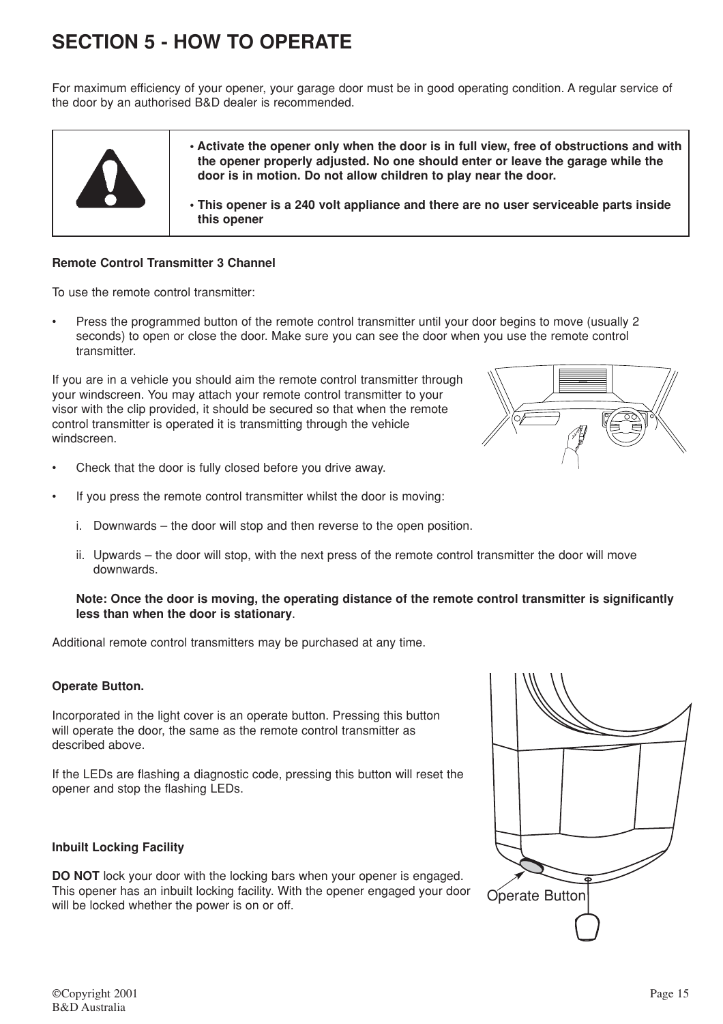# **SECTION 5 - HOW TO OPERATE**

For maximum efficiency of your opener, your garage door must be in good operating condition. A regular service of the door by an authorised B&D dealer is recommended.



**• Activate the opener only when the door is in full view, free of obstructions and with the opener properly adjusted. No one should enter or leave the garage while the door is in motion. Do not allow children to play near the door.**

**• This opener is a 240 volt appliance and there are no user serviceable parts inside this opener**

### **Remote Control Transmitter 3 Channel**

To use the remote control transmitter:

• Press the programmed button of the remote control transmitter until your door begins to move (usually 2 seconds) to open or close the door. Make sure you can see the door when you use the remote control transmitter.

If you are in a vehicle you should aim the remote control transmitter through your windscreen. You may attach your remote control transmitter to your visor with the clip provided, it should be secured so that when the remote control transmitter is operated it is transmitting through the vehicle windscreen.

- Check that the door is fully closed before you drive away.
- If you press the remote control transmitter whilst the door is moving:
	- i. Downwards the door will stop and then reverse to the open position.
	- ii. Upwards the door will stop, with the next press of the remote control transmitter the door will move downwards.

#### **Note: Once the door is moving, the operating distance of the remote control transmitter is significantly less than when the door is stationary**.

Additional remote control transmitters may be purchased at any time.

#### **Operate Button.**

Incorporated in the light cover is an operate button. Pressing this button will operate the door, the same as the remote control transmitter as described above.

If the LEDs are flashing a diagnostic code, pressing this button will reset the opener and stop the flashing LEDs.

#### **Inbuilt Locking Facility**

**DO NOT** lock your door with the locking bars when your opener is engaged. This opener has an inbuilt locking facility. With the opener engaged your door will be locked whether the power is on or off.

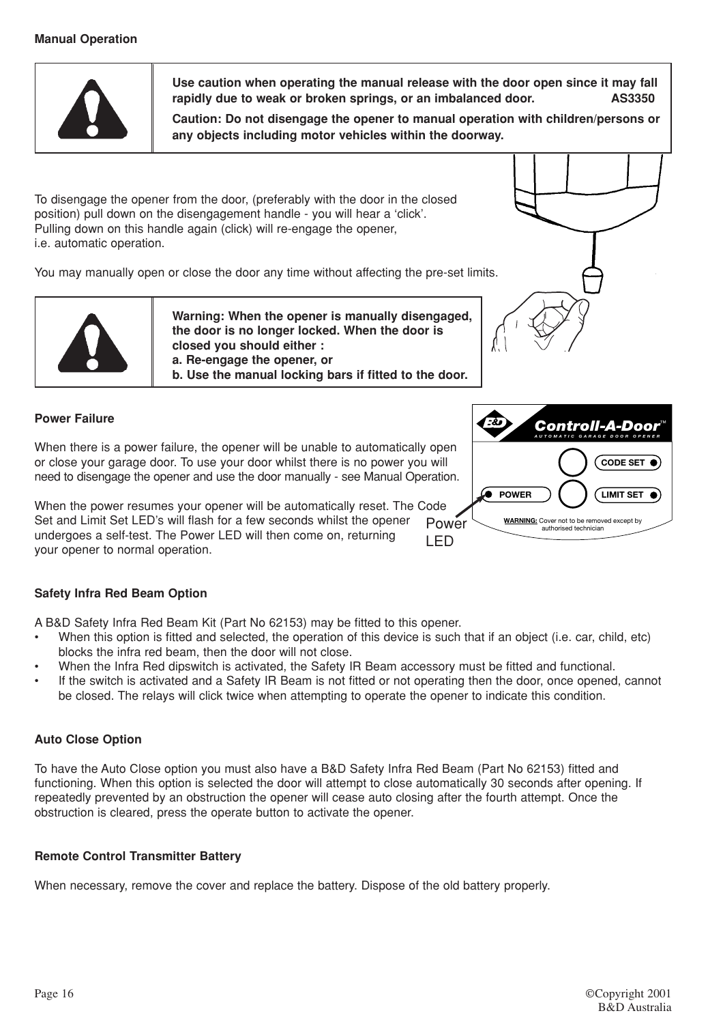# **Manual Operation**



**Use caution when operating the manual release with the door open since it may fall** rapidly due to weak or broken springs, or an imbalanced door.

**Caution: Do not disengage the opener to manual operation with children/persons or any objects including motor vehicles within the doorway.**

To disengage the opener from the door, (preferably with the door in the closed position) pull down on the disengagement handle - you will hear a 'click'. Pulling down on this handle again (click) will re-engage the opener, i.e. automatic operation.

You may manually open or close the door any time without affecting the pre-set limits.



**Warning: When the opener is manually disengaged, the door is no longer locked. When the door is closed you should either : a. Re-engage the opener, or b. Use the manual locking bars if fitted to the door.**



### **Power Failure**

When there is a power failure, the opener will be unable to automatically open or close your garage door. To use your door whilst there is no power you will need to disengage the opener and use the door manually - see Manual Operation.

LED When the power resumes your opener will be automatically reset. The Code Set and Limit Set LED's will flash for a few seconds whilst the opener undergoes a self-test. The Power LED will then come on, returning your opener to normal operation.



A B&D Safety Infra Red Beam Kit (Part No 62153) may be fitted to this opener.

- When this option is fitted and selected, the operation of this device is such that if an object (i.e. car, child, etc) blocks the infra red beam, then the door will not close.
- When the Infra Red dipswitch is activated, the Safety IR Beam accessory must be fitted and functional.
- If the switch is activated and a Safety IR Beam is not fitted or not operating then the door, once opened, cannot be closed. The relays will click twice when attempting to operate the opener to indicate this condition.

# **Auto Close Option**

To have the Auto Close option you must also have a B&D Safety Infra Red Beam (Part No 62153) fitted and functioning. When this option is selected the door will attempt to close automatically 30 seconds after opening. If repeatedly prevented by an obstruction the opener will cease auto closing after the fourth attempt. Once the obstruction is cleared, press the operate button to activate the opener.

#### **Remote Control Transmitter Battery**

When necessary, remove the cover and replace the battery. Dispose of the old battery properly.

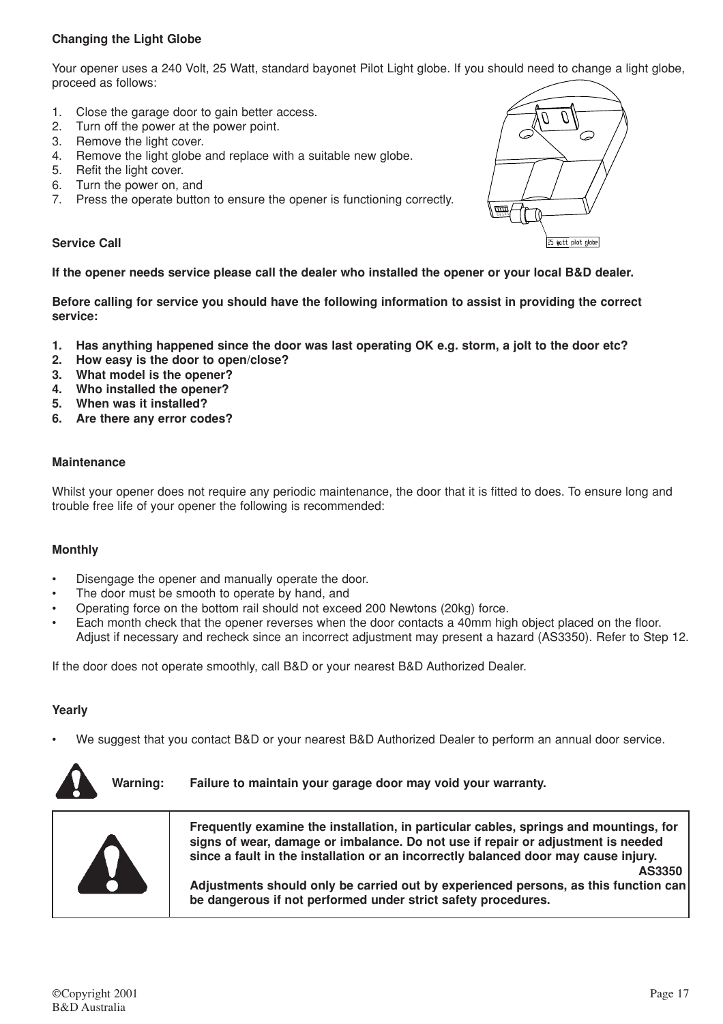# **Changing the Light Globe**

Your opener uses a 240 Volt, 25 Watt, standard bayonet Pilot Light globe. If you should need to change a light globe, proceed as follows:

- 1. Close the garage door to gain better access.
- 2. Turn off the power at the power point.
- 3. Remove the light cover.
- 4. Remove the light globe and replace with a suitable new globe.
- 5. Refit the light cover.
- 6. Turn the power on, and
- 7. Press the operate button to ensure the opener is functioning correctly.

#### **Service Call**

#### **If the opener needs service please call the dealer who installed the opener or your local B&D dealer.**

**Before calling for service you should have the following information to assist in providing the correct service:**

- **1. Has anything happened since the door was last operating OK e.g. storm, a jolt to the door etc?**
- **2. How easy is the door to open/close?**
- **3. What model is the opener?**
- **4. Who installed the opener?**
- **5. When was it installed?**
- **6. Are there any error codes?**

#### **Maintenance**

Whilst your opener does not require any periodic maintenance, the door that it is fitted to does. To ensure long and trouble free life of your opener the following is recommended:

#### **Monthly**

- Disengage the opener and manually operate the door.
- The door must be smooth to operate by hand, and
- Operating force on the bottom rail should not exceed 200 Newtons (20kg) force.
- Each month check that the opener reverses when the door contacts a 40mm high object placed on the floor. Adjust if necessary and recheck since an incorrect adjustment may present a hazard (AS3350). Refer to Step 12.

If the door does not operate smoothly, call B&D or your nearest B&D Authorized Dealer.

#### **Yearly**

• We suggest that you contact B&D or your nearest B&D Authorized Dealer to perform an annual door service.



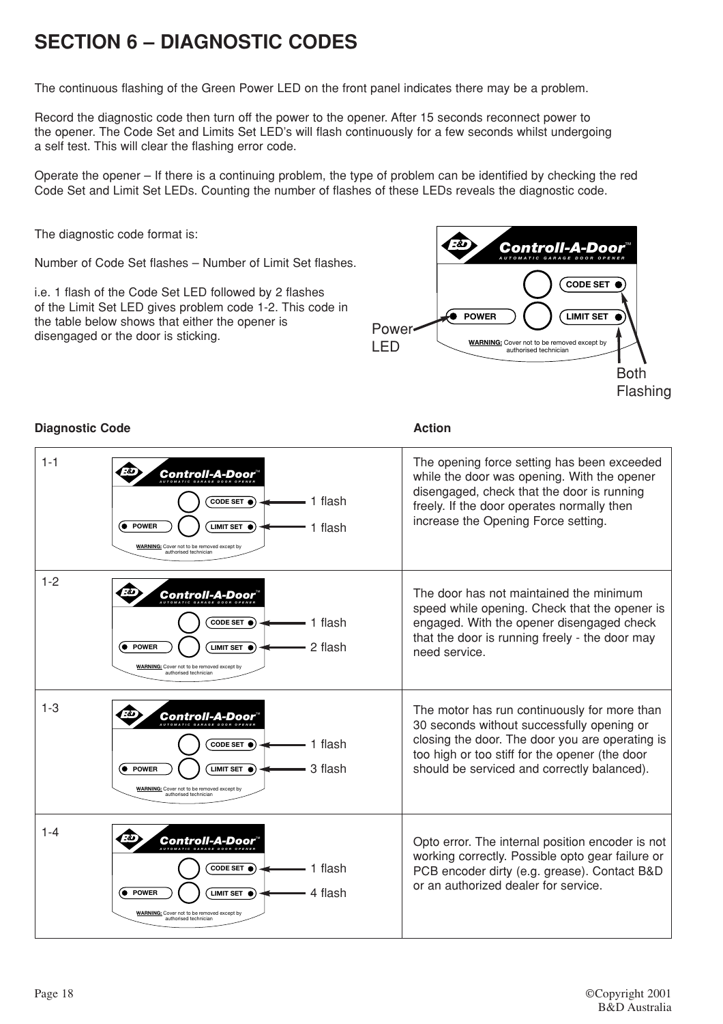# **SECTION 6 – DIAGNOSTIC CODES**

The continuous flashing of the Green Power LED on the front panel indicates there may be a problem.

Record the diagnostic code then turn off the power to the opener. After 15 seconds reconnect power to the opener. The Code Set and Limits Set LED's will flash continuously for a few seconds whilst undergoing a self test. This will clear the flashing error code.

Operate the opener – If there is a continuing problem, the type of problem can be identified by checking the red Code Set and Limit Set LEDs. Counting the number of flashes of these LEDs reveals the diagnostic code.

The diagnostic code format is:

Number of Code Set flashes – Number of Limit Set flashes.

i.e. 1 flash of the Code Set LED followed by 2 flashes of the Limit Set LED gives problem code 1-2. This code in the table below shows that either the opener is disengaged or the door is sticking.



The opening force setting has been exceeded

### **Diagnostic Code Action**

1-1

1-2 1-3 1-4 while the door was opening. With the opener disengaged, check that the door is running freely. If the door operates normally then increase the Opening Force setting. The door has not maintained the minimum speed while opening. Check that the opener is engaged. With the opener disengaged check that the door is running freely - the door may need service. The motor has run continuously for more than 30 seconds without successfully opening or closing the door. The door you are operating is too high or too stiff for the opener (the door should be serviced and correctly balanced). Opto error. The internal position encoder is not working correctly. Possible opto gear failure or PCB encoder dirty (e.g. grease). Contact B&D or an authorized dealer for service. 1 flash 1 flash 1 flash 2 flash *Controll-A-Door*™ *AUTOMATIC GARAGE DOOR OPENER* **POWER CODE SET LIMIT SET WARNING:** Cover not to be removed except by authorised technician *Controll-A-Door*™ *AUTOMATIC GARAGE DOOR OPENER* **C** POWER **CODE SET LIMIT SET WARNING:** Cover not to be removed except by authorised technician 1 flash 3 flash *Controll-A-Door*™ *AUTOMATIC GARAGE DOOR OPENER*  $Q$  POWER **CODE SET LIMIT SET WARNING:** Cover not to be removed except by authorised technician 1 flash 4 flash *Controll-A-Door*™ *AUTOMATIC GARAGE DOOR OPENER* **POWER CODE SET** LIMIT SET <sup>O</sup>

**WARNING:** Cover not to be a authorised technician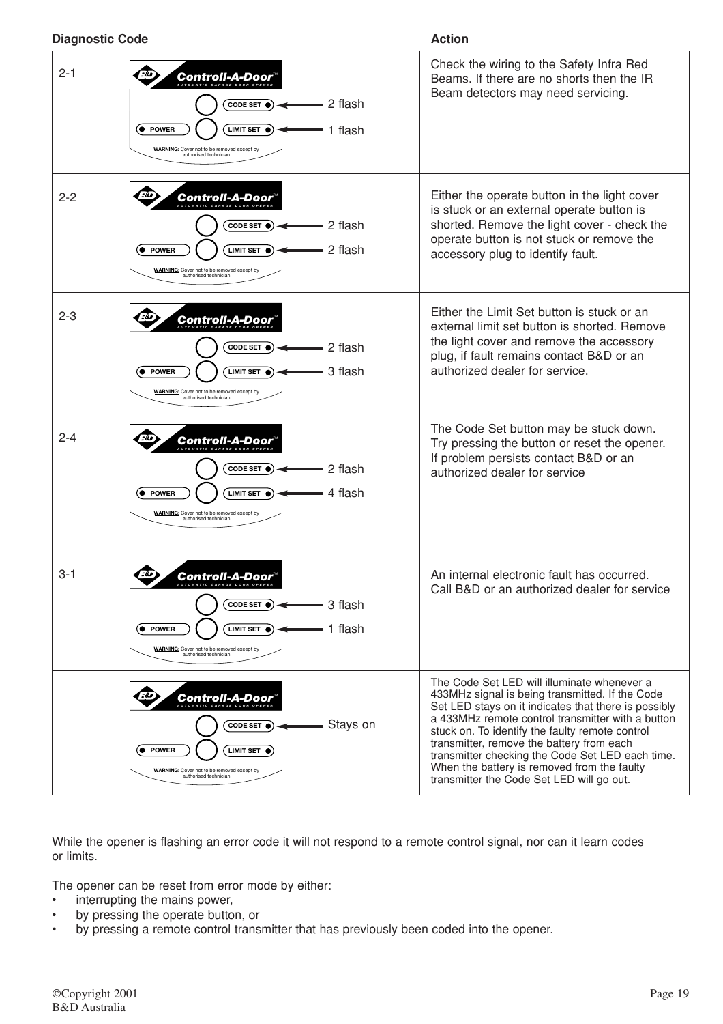| <b>Diagnostic Code</b> |                                                                                                                                                                                                                      | <b>Action</b>                                                                                                                                                                                                                                                                                                                                                                                                                                               |  |
|------------------------|----------------------------------------------------------------------------------------------------------------------------------------------------------------------------------------------------------------------|-------------------------------------------------------------------------------------------------------------------------------------------------------------------------------------------------------------------------------------------------------------------------------------------------------------------------------------------------------------------------------------------------------------------------------------------------------------|--|
| $2 - 1$                | <b>Controll-A-Door</b><br>2 flash<br>CODE SET $\bullet$<br><b>POWER</b><br>LIMIT SET $\bullet$<br>1 flash<br><b>WARNING:</b> Cover not to be removed except by<br>authorised technician                              | Check the wiring to the Safety Infra Red<br>Beams. If there are no shorts then the IR<br>Beam detectors may need servicing.                                                                                                                                                                                                                                                                                                                                 |  |
| $2 - 2$                | Controll-A-Door<br>2 flash<br>CODE SET $\bullet$<br>2 flash<br><b>POWER</b><br><b>LIMIT SET</b><br>$\bullet$<br><b>WARNING:</b> Cover not to be removed except by<br>authorised technician                           | Either the operate button in the light cover<br>is stuck or an external operate button is<br>shorted. Remove the light cover - check the<br>operate button is not stuck or remove the<br>accessory plug to identify fault.                                                                                                                                                                                                                                  |  |
| $2 - 3$                | Controll-A-Door<br>2 flash<br>CODE SET $\bullet$<br>3 flash<br>(● POWER<br>LIMIT SET $\bullet$<br><b>WARNING:</b> Cover not to be removed except by<br>authorised technician                                         | Either the Limit Set button is stuck or an<br>external limit set button is shorted. Remove<br>the light cover and remove the accessory<br>plug, if fault remains contact B&D or an<br>authorized dealer for service.                                                                                                                                                                                                                                        |  |
| $2 - 4$                | <b>Controll-A-Door</b><br>2 flash<br>CODE SET $\bullet$<br>4 flash<br><b>POWER</b><br>LIMIT SET $\bullet$<br><b>WARNING:</b> Cover not to be removed except by<br>authorised technician                              | The Code Set button may be stuck down.<br>Try pressing the button or reset the opener.<br>If problem persists contact B&D or an<br>authorized dealer for service                                                                                                                                                                                                                                                                                            |  |
| $3 - 1$                | ক<br>Controll-A-Door"<br>AUTOMATIC GARAGE DOOR OPENER<br>3 flash<br>CODE SET $\bullet$<br>1 flash<br>(● POWER<br>LIMIT SET $\bullet$ )<br><b>WARNING:</b> Cover not to be removed except by<br>authorised technician | An internal electronic fault has occurred.<br>Call B&D or an authorized dealer for service                                                                                                                                                                                                                                                                                                                                                                  |  |
|                        | Controll-A-Door<br>Stays on<br>CODE SET $\bullet$<br>(● POWER<br>LIMIT SET $\bullet$<br><b>WARNING:</b> Cover not to be removed except by<br>authorised technician                                                   | The Code Set LED will illuminate whenever a<br>433MHz signal is being transmitted. If the Code<br>Set LED stays on it indicates that there is possibly<br>a 433MHz remote control transmitter with a button<br>stuck on. To identify the faulty remote control<br>transmitter, remove the battery from each<br>transmitter checking the Code Set LED each time.<br>When the battery is removed from the faulty<br>transmitter the Code Set LED will go out. |  |

While the opener is flashing an error code it will not respond to a remote control signal, nor can it learn codes or limits.

The opener can be reset from error mode by either:

- interrupting the mains power,
- by pressing the operate button, or
- by pressing a remote control transmitter that has previously been coded into the opener.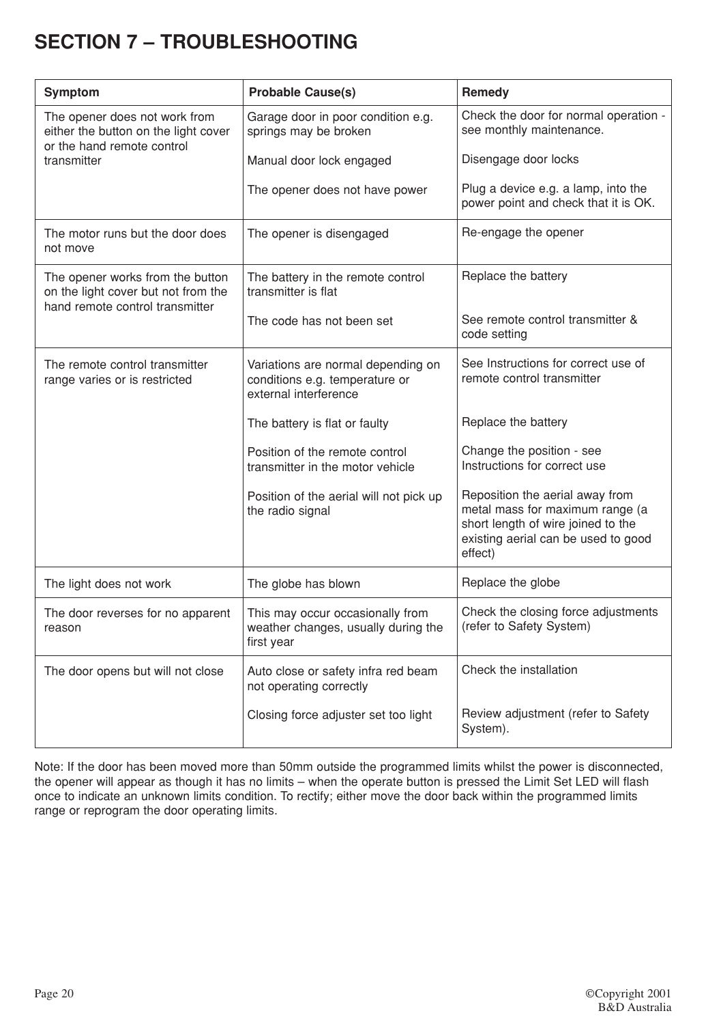# **SECTION 7 – TROUBLESHOOTING**

| <b>Symptom</b>                                                                                             | <b>Probable Cause(s)</b>                                                                      | Remedy                                                                                                                                                     |
|------------------------------------------------------------------------------------------------------------|-----------------------------------------------------------------------------------------------|------------------------------------------------------------------------------------------------------------------------------------------------------------|
| The opener does not work from<br>either the button on the light cover<br>or the hand remote control        | Garage door in poor condition e.g.<br>springs may be broken                                   | Check the door for normal operation -<br>see monthly maintenance.                                                                                          |
| transmitter                                                                                                | Manual door lock engaged                                                                      | Disengage door locks                                                                                                                                       |
|                                                                                                            | The opener does not have power                                                                | Plug a device e.g. a lamp, into the<br>power point and check that it is OK.                                                                                |
| The motor runs but the door does<br>not move                                                               | The opener is disengaged                                                                      | Re-engage the opener                                                                                                                                       |
| The opener works from the button<br>on the light cover but not from the<br>hand remote control transmitter | The battery in the remote control<br>transmitter is flat                                      | Replace the battery                                                                                                                                        |
|                                                                                                            | The code has not been set                                                                     | See remote control transmitter &<br>code setting                                                                                                           |
| The remote control transmitter<br>range varies or is restricted                                            | Variations are normal depending on<br>conditions e.g. temperature or<br>external interference | See Instructions for correct use of<br>remote control transmitter                                                                                          |
|                                                                                                            | The battery is flat or faulty                                                                 | Replace the battery                                                                                                                                        |
|                                                                                                            | Position of the remote control<br>transmitter in the motor vehicle                            | Change the position - see<br>Instructions for correct use                                                                                                  |
|                                                                                                            | Position of the aerial will not pick up<br>the radio signal                                   | Reposition the aerial away from<br>metal mass for maximum range (a<br>short length of wire joined to the<br>existing aerial can be used to good<br>effect) |
| The light does not work                                                                                    | The globe has blown                                                                           | Replace the globe                                                                                                                                          |
| The door reverses for no apparent<br>reason                                                                | This may occur occasionally from<br>weather changes, usually during the<br>first year         | Check the closing force adjustments<br>(refer to Safety System)                                                                                            |
| The door opens but will not close                                                                          | Auto close or safety infra red beam<br>not operating correctly                                | Check the installation                                                                                                                                     |
|                                                                                                            | Closing force adjuster set too light                                                          | Review adjustment (refer to Safety<br>System).                                                                                                             |

Note: If the door has been moved more than 50mm outside the programmed limits whilst the power is disconnected, the opener will appear as though it has no limits – when the operate button is pressed the Limit Set LED will flash once to indicate an unknown limits condition. To rectify; either move the door back within the programmed limits range or reprogram the door operating limits.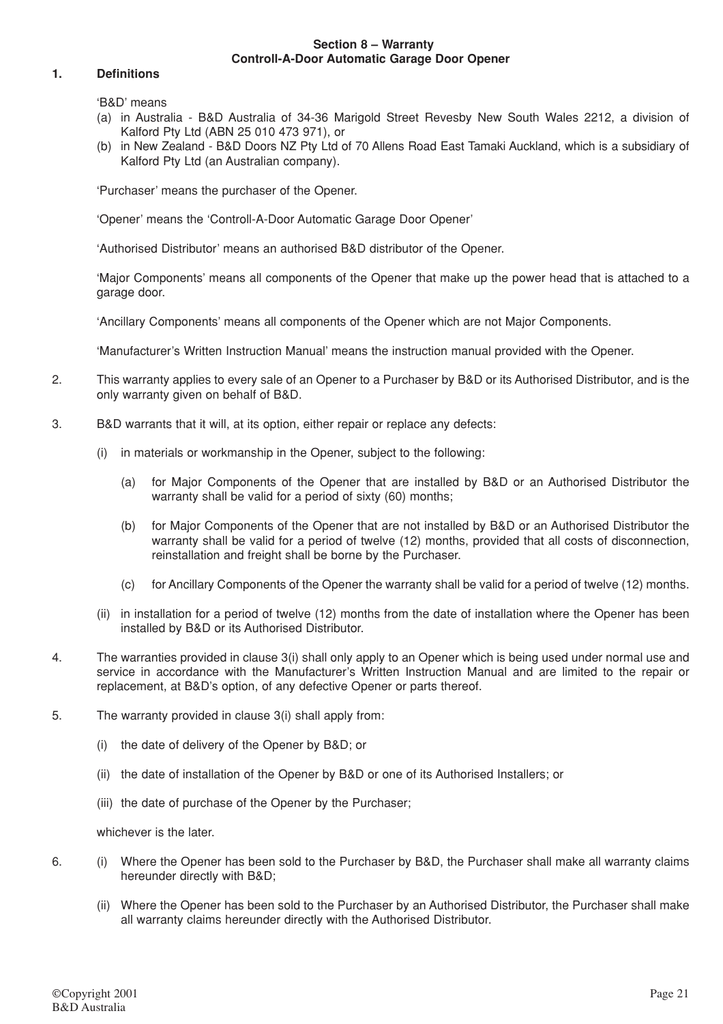#### **Section 8 – Warranty Controll-A-Door Automatic Garage Door Opener**

#### **1. Definitions**

'B&D' means

- (a) in Australia B&D Australia of 34-36 Marigold Street Revesby New South Wales 2212, a division of Kalford Pty Ltd (ABN 25 010 473 971), or
- (b) in New Zealand B&D Doors NZ Pty Ltd of 70 Allens Road East Tamaki Auckland, which is a subsidiary of Kalford Pty Ltd (an Australian company).

'Purchaser' means the purchaser of the Opener.

'Opener' means the 'Controll-A-Door Automatic Garage Door Opener'

'Authorised Distributor' means an authorised B&D distributor of the Opener.

'Major Components' means all components of the Opener that make up the power head that is attached to a garage door.

'Ancillary Components' means all components of the Opener which are not Major Components.

'Manufacturer's Written Instruction Manual' means the instruction manual provided with the Opener.

- 2. This warranty applies to every sale of an Opener to a Purchaser by B&D or its Authorised Distributor, and is the only warranty given on behalf of B&D.
- 3. B&D warrants that it will, at its option, either repair or replace any defects:
	- (i) in materials or workmanship in the Opener, subject to the following:
		- (a) for Major Components of the Opener that are installed by B&D or an Authorised Distributor the warranty shall be valid for a period of sixty (60) months;
		- (b) for Major Components of the Opener that are not installed by B&D or an Authorised Distributor the warranty shall be valid for a period of twelve (12) months, provided that all costs of disconnection, reinstallation and freight shall be borne by the Purchaser.
		- (c) for Ancillary Components of the Opener the warranty shall be valid for a period of twelve (12) months.
	- (ii) in installation for a period of twelve (12) months from the date of installation where the Opener has been installed by B&D or its Authorised Distributor.
- 4. The warranties provided in clause 3(i) shall only apply to an Opener which is being used under normal use and service in accordance with the Manufacturer's Written Instruction Manual and are limited to the repair or replacement, at B&D's option, of any defective Opener or parts thereof.
- 5. The warranty provided in clause 3(i) shall apply from:
	- (i) the date of delivery of the Opener by B&D; or
	- (ii) the date of installation of the Opener by B&D or one of its Authorised Installers; or
	- (iii) the date of purchase of the Opener by the Purchaser;

whichever is the later.

- 6. (i) Where the Opener has been sold to the Purchaser by B&D, the Purchaser shall make all warranty claims hereunder directly with B&D;
	- (ii) Where the Opener has been sold to the Purchaser by an Authorised Distributor, the Purchaser shall make all warranty claims hereunder directly with the Authorised Distributor.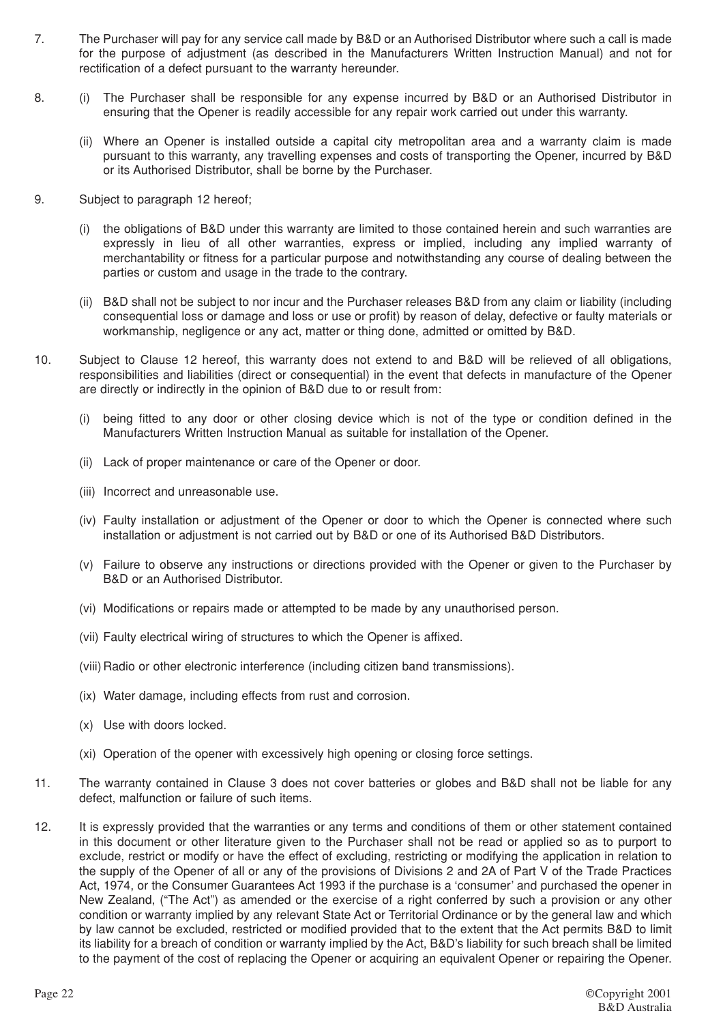- 7. The Purchaser will pay for any service call made by B&D or an Authorised Distributor where such a call is made for the purpose of adjustment (as described in the Manufacturers Written Instruction Manual) and not for rectification of a defect pursuant to the warranty hereunder.
- 8. (i) The Purchaser shall be responsible for any expense incurred by B&D or an Authorised Distributor in ensuring that the Opener is readily accessible for any repair work carried out under this warranty.
	- (ii) Where an Opener is installed outside a capital city metropolitan area and a warranty claim is made pursuant to this warranty, any travelling expenses and costs of transporting the Opener, incurred by B&D or its Authorised Distributor, shall be borne by the Purchaser.
- 9. Subject to paragraph 12 hereof;
	- (i) the obligations of B&D under this warranty are limited to those contained herein and such warranties are expressly in lieu of all other warranties, express or implied, including any implied warranty of merchantability or fitness for a particular purpose and notwithstanding any course of dealing between the parties or custom and usage in the trade to the contrary.
	- (ii) B&D shall not be subject to nor incur and the Purchaser releases B&D from any claim or liability (including consequential loss or damage and loss or use or profit) by reason of delay, defective or faulty materials or workmanship, negligence or any act, matter or thing done, admitted or omitted by B&D.
- 10. Subject to Clause 12 hereof, this warranty does not extend to and B&D will be relieved of all obligations, responsibilities and liabilities (direct or consequential) in the event that defects in manufacture of the Opener are directly or indirectly in the opinion of B&D due to or result from:
	- (i) being fitted to any door or other closing device which is not of the type or condition defined in the Manufacturers Written Instruction Manual as suitable for installation of the Opener.
	- (ii) Lack of proper maintenance or care of the Opener or door.
	- (iii) Incorrect and unreasonable use.
	- (iv) Faulty installation or adjustment of the Opener or door to which the Opener is connected where such installation or adjustment is not carried out by B&D or one of its Authorised B&D Distributors.
	- (v) Failure to observe any instructions or directions provided with the Opener or given to the Purchaser by B&D or an Authorised Distributor.
	- (vi) Modifications or repairs made or attempted to be made by any unauthorised person.
	- (vii) Faulty electrical wiring of structures to which the Opener is affixed.
	- (viii) Radio or other electronic interference (including citizen band transmissions).
	- (ix) Water damage, including effects from rust and corrosion.
	- (x) Use with doors locked.
	- (xi) Operation of the opener with excessively high opening or closing force settings.
- 11. The warranty contained in Clause 3 does not cover batteries or globes and B&D shall not be liable for any defect, malfunction or failure of such items.
- 12. It is expressly provided that the warranties or any terms and conditions of them or other statement contained in this document or other literature given to the Purchaser shall not be read or applied so as to purport to exclude, restrict or modify or have the effect of excluding, restricting or modifying the application in relation to the supply of the Opener of all or any of the provisions of Divisions 2 and 2A of Part V of the Trade Practices Act, 1974, or the Consumer Guarantees Act 1993 if the purchase is a 'consumer' and purchased the opener in New Zealand, ("The Act") as amended or the exercise of a right conferred by such a provision or any other condition or warranty implied by any relevant State Act or Territorial Ordinance or by the general law and which by law cannot be excluded, restricted or modified provided that to the extent that the Act permits B&D to limit its liability for a breach of condition or warranty implied by the Act, B&D's liability for such breach shall be limited to the payment of the cost of replacing the Opener or acquiring an equivalent Opener or repairing the Opener.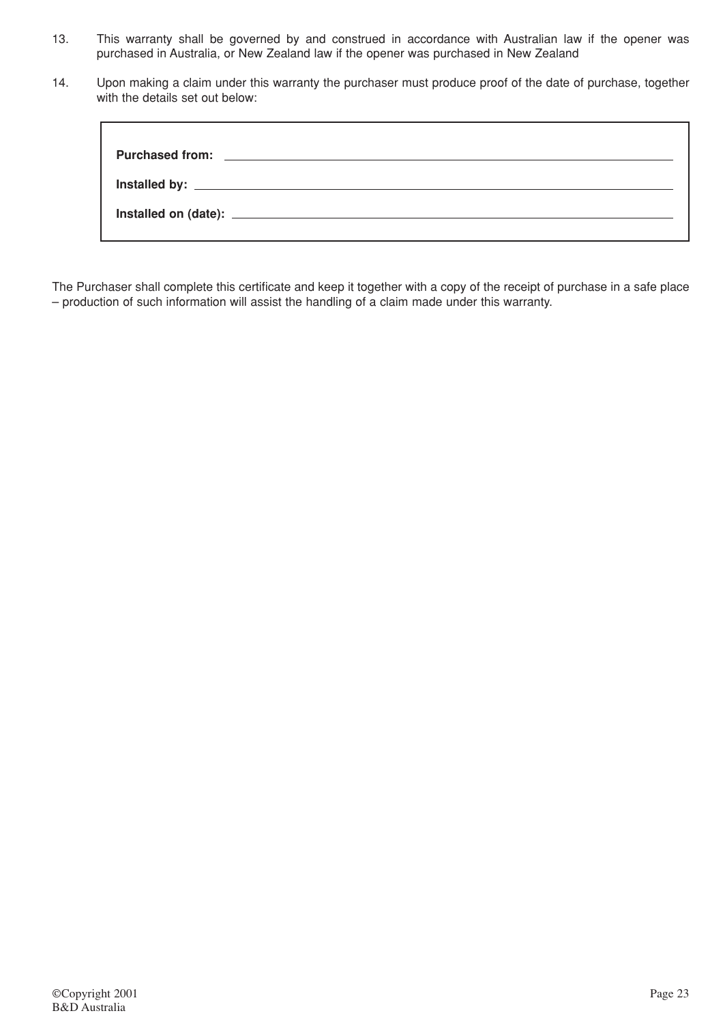- 13. This warranty shall be governed by and construed in accordance with Australian law if the opener was purchased in Australia, or New Zealand law if the opener was purchased in New Zealand
- 14. Upon making a claim under this warranty the purchaser must produce proof of the date of purchase, together with the details set out below:

The Purchaser shall complete this certificate and keep it together with a copy of the receipt of purchase in a safe place – production of such information will assist the handling of a claim made under this warranty.